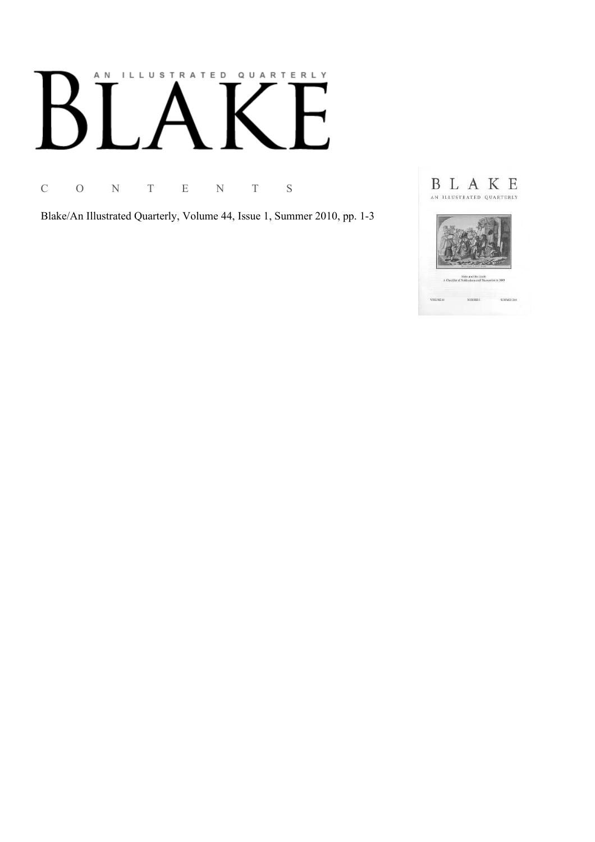# AN ILLUSTRATED QUARTERLY

C O N T E N T S

Blake/An Illustrated Quarterly, Volume 44, Issue 1, Summer 2010, pp. 1-3

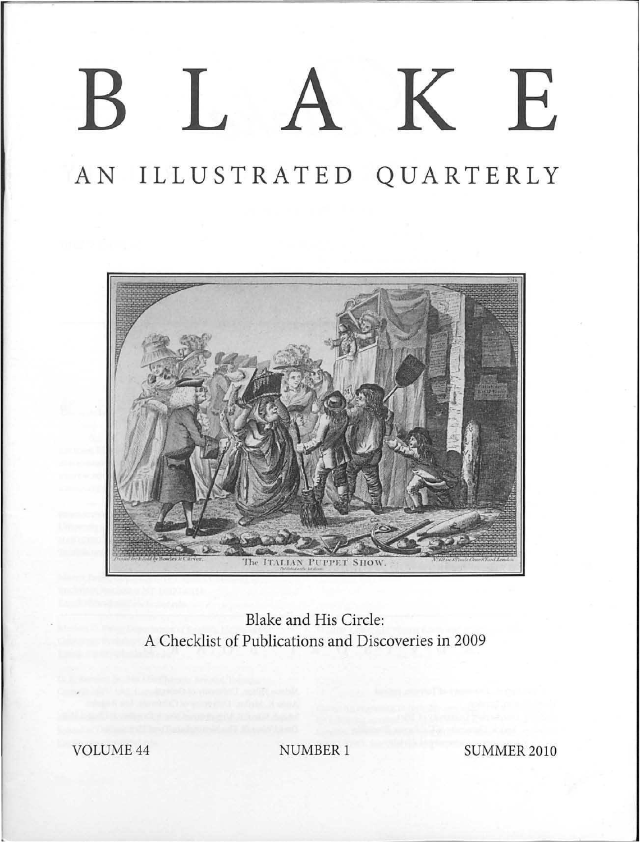## BLAKE

## AN ILLUSTRATED QUARTERLY



Blake and His Circle: A Checklist of Publications and Discoveries in 2009

**VOLUME 44** 

**NUMBER 1** 

**SUMMER 2010**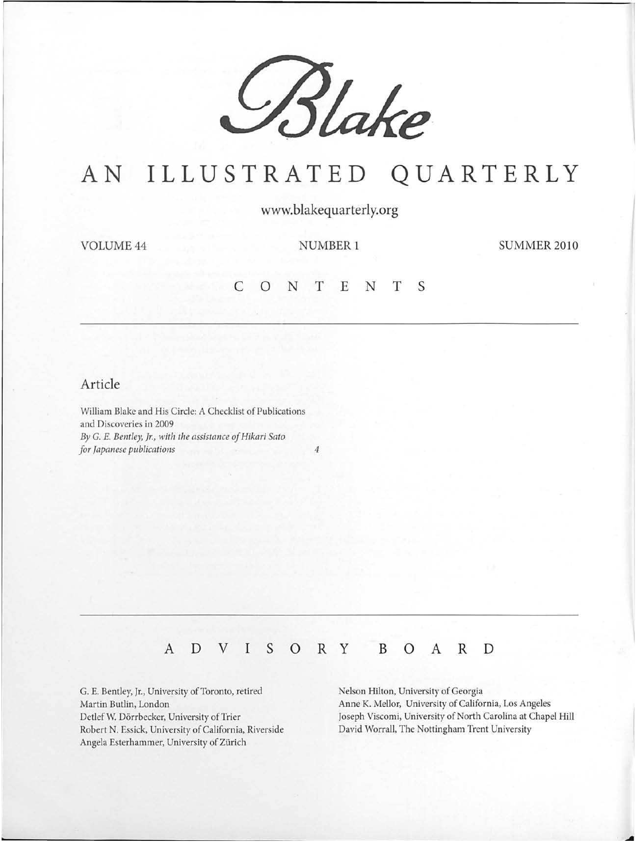

## AN **ILLUSTRATED QUARTERLY**

**www.blakequarterly.org** 

VOLUME 44 NUMBER 1

SUMMER<sub>2010</sub>

#### **c 0 N T E N T s**

#### **Article**

William Blake and His Circle: A Checklist of Publications and Discoveries in 2009 *By* G. *E. Bentley, Jr., with the assistance of Hikari Sato for Japanese publications 4* 

#### **A D V I S 0 R y B 0 A R D**

G. E. Bentley, Jr., University of Toronto, retired Martin Butlin, London Detlef W. Dörrbecker, University of Trier Robert N. Essick, University of California, Riverside Angela Esterhammer, University of Zürich

Nelson Hilton, University of Georgia Anne K. Mellor, University of California, Los Angeles Joseph Viscomi, University of North Carolina at Chapel Hill David Worrall, The Nottingham Trent University